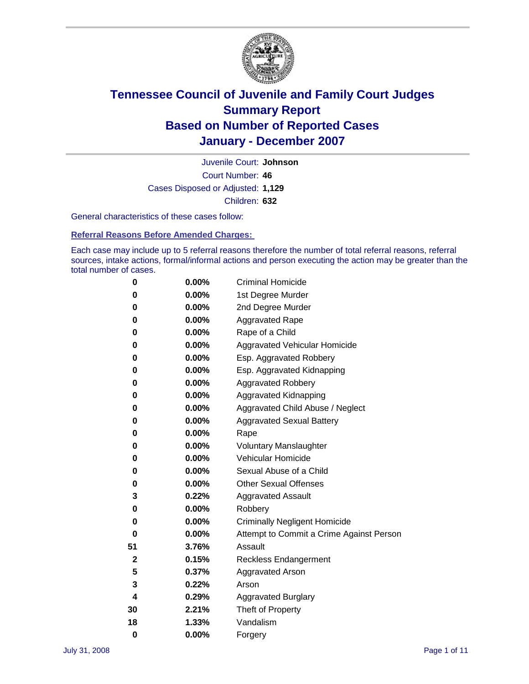

Court Number: **46** Juvenile Court: **Johnson** Cases Disposed or Adjusted: **1,129** Children: **632**

General characteristics of these cases follow:

**Referral Reasons Before Amended Charges:** 

Each case may include up to 5 referral reasons therefore the number of total referral reasons, referral sources, intake actions, formal/informal actions and person executing the action may be greater than the total number of cases.

| 0  | 0.00%    | <b>Criminal Homicide</b>                 |
|----|----------|------------------------------------------|
| 0  | 0.00%    | 1st Degree Murder                        |
| 0  | $0.00\%$ | 2nd Degree Murder                        |
| 0  | 0.00%    | <b>Aggravated Rape</b>                   |
| 0  | 0.00%    | Rape of a Child                          |
| 0  | 0.00%    | Aggravated Vehicular Homicide            |
| 0  | 0.00%    | Esp. Aggravated Robbery                  |
| 0  | 0.00%    | Esp. Aggravated Kidnapping               |
| 0  | 0.00%    | <b>Aggravated Robbery</b>                |
| 0  | 0.00%    | Aggravated Kidnapping                    |
| 0  | 0.00%    | Aggravated Child Abuse / Neglect         |
| 0  | $0.00\%$ | <b>Aggravated Sexual Battery</b>         |
| 0  | 0.00%    | Rape                                     |
| 0  | 0.00%    | <b>Voluntary Manslaughter</b>            |
| 0  | 0.00%    | Vehicular Homicide                       |
| 0  | 0.00%    | Sexual Abuse of a Child                  |
| 0  | 0.00%    | <b>Other Sexual Offenses</b>             |
| 3  | 0.22%    | <b>Aggravated Assault</b>                |
| 0  | $0.00\%$ | Robbery                                  |
| 0  | 0.00%    | <b>Criminally Negligent Homicide</b>     |
| 0  | 0.00%    | Attempt to Commit a Crime Against Person |
| 51 | 3.76%    | Assault                                  |
| 2  | 0.15%    | <b>Reckless Endangerment</b>             |
| 5  | 0.37%    | Aggravated Arson                         |
| 3  | 0.22%    | Arson                                    |
| 4  | 0.29%    | <b>Aggravated Burglary</b>               |
| 30 | 2.21%    | Theft of Property                        |
| 18 | 1.33%    | Vandalism                                |
| 0  | 0.00%    | Forgery                                  |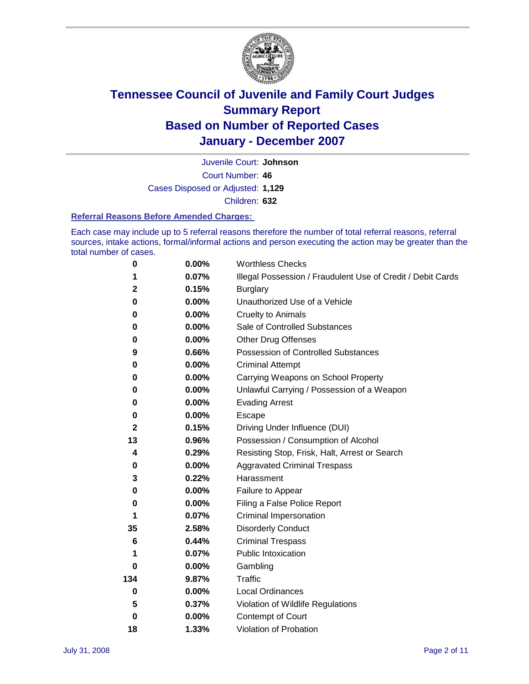

Court Number: **46** Juvenile Court: **Johnson** Cases Disposed or Adjusted: **1,129** Children: **632**

#### **Referral Reasons Before Amended Charges:**

Each case may include up to 5 referral reasons therefore the number of total referral reasons, referral sources, intake actions, formal/informal actions and person executing the action may be greater than the total number of cases.

| 0           | 0.00%    | <b>Worthless Checks</b>                                     |
|-------------|----------|-------------------------------------------------------------|
| 1           | 0.07%    | Illegal Possession / Fraudulent Use of Credit / Debit Cards |
| 2           | 0.15%    | <b>Burglary</b>                                             |
| 0           | 0.00%    | Unauthorized Use of a Vehicle                               |
| 0           | 0.00%    | <b>Cruelty to Animals</b>                                   |
| 0           | $0.00\%$ | Sale of Controlled Substances                               |
| 0           | 0.00%    | <b>Other Drug Offenses</b>                                  |
| 9           | 0.66%    | Possession of Controlled Substances                         |
| 0           | $0.00\%$ | <b>Criminal Attempt</b>                                     |
| 0           | 0.00%    | Carrying Weapons on School Property                         |
| 0           | 0.00%    | Unlawful Carrying / Possession of a Weapon                  |
| $\bf{0}$    | $0.00\%$ | <b>Evading Arrest</b>                                       |
| 0           | 0.00%    | Escape                                                      |
| $\mathbf 2$ | 0.15%    | Driving Under Influence (DUI)                               |
| 13          | 0.96%    | Possession / Consumption of Alcohol                         |
| 4           | 0.29%    | Resisting Stop, Frisk, Halt, Arrest or Search               |
| 0           | 0.00%    | <b>Aggravated Criminal Trespass</b>                         |
| 3           | 0.22%    | Harassment                                                  |
| 0           | $0.00\%$ | Failure to Appear                                           |
| 0           | 0.00%    | Filing a False Police Report                                |
| 1           | 0.07%    | Criminal Impersonation                                      |
| 35          | 2.58%    | <b>Disorderly Conduct</b>                                   |
| 6           | 0.44%    | <b>Criminal Trespass</b>                                    |
| 1           | 0.07%    | <b>Public Intoxication</b>                                  |
| 0           | $0.00\%$ | Gambling                                                    |
| 134         | 9.87%    | <b>Traffic</b>                                              |
| 0           | $0.00\%$ | Local Ordinances                                            |
| 5           | 0.37%    | Violation of Wildlife Regulations                           |
| $\bf{0}$    | $0.00\%$ | Contempt of Court                                           |
| 18          | 1.33%    | Violation of Probation                                      |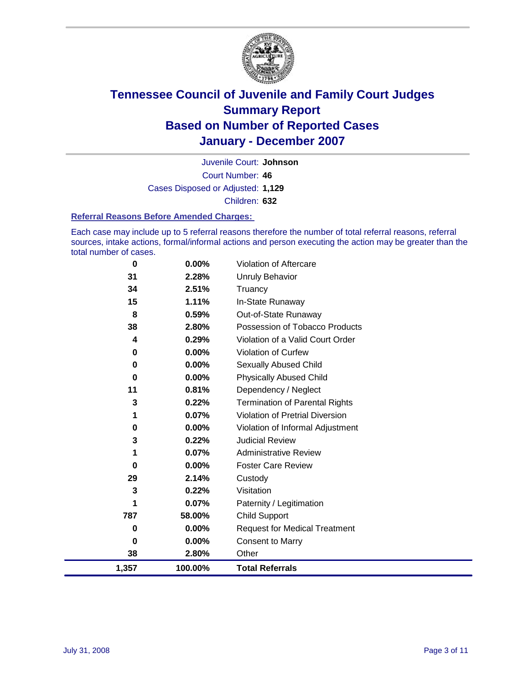

Court Number: **46** Juvenile Court: **Johnson** Cases Disposed or Adjusted: **1,129** Children: **632**

#### **Referral Reasons Before Amended Charges:**

Each case may include up to 5 referral reasons therefore the number of total referral reasons, referral sources, intake actions, formal/informal actions and person executing the action may be greater than the total number of cases.

| 0        | 0.00%    | Violation of Aftercare                 |
|----------|----------|----------------------------------------|
| 31       | 2.28%    | <b>Unruly Behavior</b>                 |
| 34       | 2.51%    | Truancy                                |
| 15       | 1.11%    | In-State Runaway                       |
| 8        | 0.59%    | Out-of-State Runaway                   |
| 38       | 2.80%    | Possession of Tobacco Products         |
| 4        | 0.29%    | Violation of a Valid Court Order       |
| 0        | $0.00\%$ | Violation of Curfew                    |
| 0        | $0.00\%$ | Sexually Abused Child                  |
| 0        | 0.00%    | <b>Physically Abused Child</b>         |
| 11       | 0.81%    | Dependency / Neglect                   |
| 3        | 0.22%    | <b>Termination of Parental Rights</b>  |
| 1        | 0.07%    | <b>Violation of Pretrial Diversion</b> |
| $\bf{0}$ | 0.00%    | Violation of Informal Adjustment       |
| 3        | 0.22%    | <b>Judicial Review</b>                 |
| 1        | 0.07%    | <b>Administrative Review</b>           |
| 0        | 0.00%    | <b>Foster Care Review</b>              |
| 29       | 2.14%    | Custody                                |
| 3        | 0.22%    | Visitation                             |
| 1        | 0.07%    | Paternity / Legitimation               |
| 787      | 58.00%   | <b>Child Support</b>                   |
| 0        | $0.00\%$ | <b>Request for Medical Treatment</b>   |
| $\bf{0}$ | 0.00%    | <b>Consent to Marry</b>                |
| 38       | 2.80%    | Other                                  |
| 1,357    | 100.00%  | <b>Total Referrals</b>                 |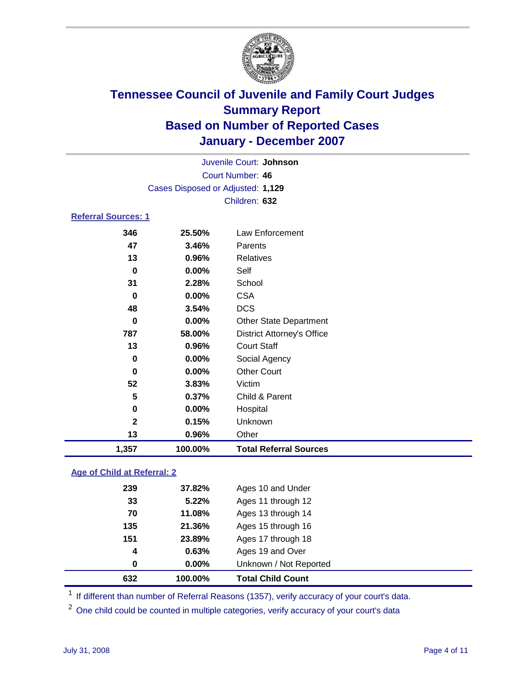

Court Number: **46** Juvenile Court: **Johnson** Cases Disposed or Adjusted: **1,129** Children: **632**

### **Referral Sources: 1**

| 1,357        | 100.00% | <b>Total Referral Sources</b>     |
|--------------|---------|-----------------------------------|
| 13           | 0.96%   | Other                             |
| $\mathbf{2}$ | 0.15%   | Unknown                           |
| 0            | 0.00%   | Hospital                          |
| 5            | 0.37%   | Child & Parent                    |
| 52           | 3.83%   | Victim                            |
| 0            | 0.00%   | <b>Other Court</b>                |
| $\bf{0}$     | 0.00%   | Social Agency                     |
| 13           | 0.96%   | <b>Court Staff</b>                |
| 787          | 58.00%  | <b>District Attorney's Office</b> |
| 0            | 0.00%   | <b>Other State Department</b>     |
| 48           | 3.54%   | <b>DCS</b>                        |
| 0            | 0.00%   | <b>CSA</b>                        |
| 31           | 2.28%   | School                            |
| 0            | 0.00%   | Self                              |
| 13           | 0.96%   | Relatives                         |
| 47           | 3.46%   | Parents                           |
| 346          | 25.50%  | Law Enforcement                   |

### **Age of Child at Referral: 2**

| 632              | 100.00% | <b>Total Child Count</b> |  |
|------------------|---------|--------------------------|--|
| 0                | 0.00%   | Unknown / Not Reported   |  |
| $\boldsymbol{4}$ | 0.63%   | Ages 19 and Over         |  |
| 151              | 23.89%  | Ages 17 through 18       |  |
| 135              | 21.36%  | Ages 15 through 16       |  |
| 70               | 11.08%  | Ages 13 through 14       |  |
| 33               | 5.22%   | Ages 11 through 12       |  |
| 239              | 37.82%  | Ages 10 and Under        |  |
|                  |         |                          |  |

<sup>1</sup> If different than number of Referral Reasons (1357), verify accuracy of your court's data.

<sup>2</sup> One child could be counted in multiple categories, verify accuracy of your court's data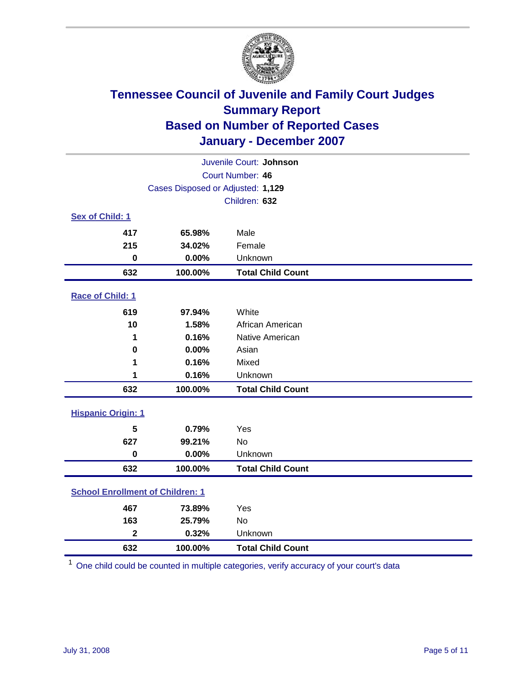

| Juvenile Court: Johnson                 |                                   |                          |  |  |  |
|-----------------------------------------|-----------------------------------|--------------------------|--|--|--|
| Court Number: 46                        |                                   |                          |  |  |  |
|                                         | Cases Disposed or Adjusted: 1,129 |                          |  |  |  |
|                                         |                                   | Children: 632            |  |  |  |
| Sex of Child: 1                         |                                   |                          |  |  |  |
| 417                                     | 65.98%                            | Male                     |  |  |  |
| 215                                     | 34.02%                            | Female                   |  |  |  |
| $\bf{0}$                                | 0.00%                             | Unknown                  |  |  |  |
| 632                                     | 100.00%                           | <b>Total Child Count</b> |  |  |  |
| Race of Child: 1                        |                                   |                          |  |  |  |
| 619                                     | 97.94%                            | White                    |  |  |  |
| 10                                      | 1.58%                             | African American         |  |  |  |
| 1                                       | 0.16%                             | Native American          |  |  |  |
| 0                                       | 0.00%                             | Asian                    |  |  |  |
| 1                                       | 0.16%                             | Mixed                    |  |  |  |
| 1                                       | 0.16%                             | Unknown                  |  |  |  |
| 632                                     | 100.00%                           | <b>Total Child Count</b> |  |  |  |
| <b>Hispanic Origin: 1</b>               |                                   |                          |  |  |  |
| 5                                       | 0.79%                             | Yes                      |  |  |  |
| 627                                     | 99.21%                            | <b>No</b>                |  |  |  |
| $\mathbf 0$                             | 0.00%                             | Unknown                  |  |  |  |
| 632                                     | 100.00%                           | <b>Total Child Count</b> |  |  |  |
| <b>School Enrollment of Children: 1</b> |                                   |                          |  |  |  |
| 467                                     | 73.89%                            | Yes                      |  |  |  |
| 163                                     | 25.79%                            | No                       |  |  |  |
| $\overline{\mathbf{2}}$                 | 0.32%                             | Unknown                  |  |  |  |
| 632                                     | 100.00%                           | <b>Total Child Count</b> |  |  |  |

One child could be counted in multiple categories, verify accuracy of your court's data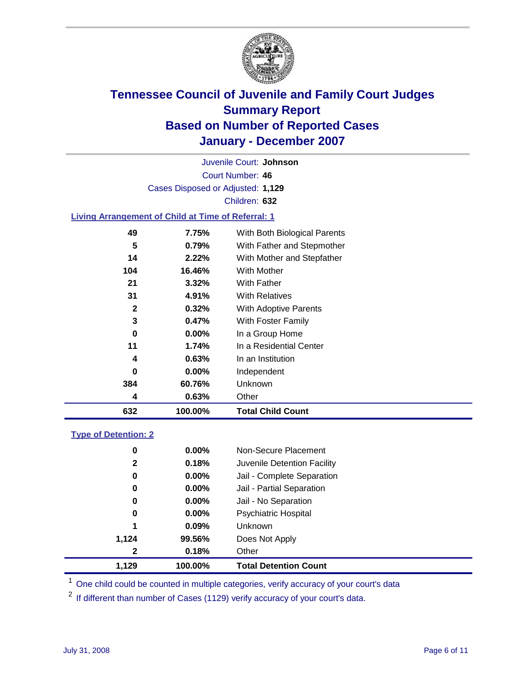

Court Number: **46** Juvenile Court: **Johnson** Cases Disposed or Adjusted: **1,129** Children: **632**

#### **Living Arrangement of Child at Time of Referral: 1**

| 632 | 100.00%  | <b>Total Child Count</b>     |
|-----|----------|------------------------------|
| 4   | 0.63%    | Other                        |
| 384 | 60.76%   | Unknown                      |
| 0   | $0.00\%$ | Independent                  |
| 4   | 0.63%    | In an Institution            |
| 11  | 1.74%    | In a Residential Center      |
| 0   | $0.00\%$ | In a Group Home              |
| 3   | 0.47%    | With Foster Family           |
| 2   | 0.32%    | With Adoptive Parents        |
| 31  | 4.91%    | <b>With Relatives</b>        |
| 21  | 3.32%    | <b>With Father</b>           |
| 104 | 16.46%   | <b>With Mother</b>           |
| 14  | 2.22%    | With Mother and Stepfather   |
| 5   | 0.79%    | With Father and Stepmother   |
| 49  | 7.75%    | With Both Biological Parents |
|     |          |                              |

#### **Type of Detention: 2**

| 1.129        | 100.00%  | <b>Total Detention Count</b> |
|--------------|----------|------------------------------|
| 2            | 0.18%    | Other                        |
| 1,124        | 99.56%   | Does Not Apply               |
| 1            | $0.09\%$ | Unknown                      |
| 0            | 0.00%    | <b>Psychiatric Hospital</b>  |
| 0            | 0.00%    | Jail - No Separation         |
| 0            | $0.00\%$ | Jail - Partial Separation    |
| 0            | $0.00\%$ | Jail - Complete Separation   |
| $\mathbf{2}$ | 0.18%    | Juvenile Detention Facility  |
| 0            | 0.00%    | Non-Secure Placement         |
|              |          |                              |

<sup>1</sup> One child could be counted in multiple categories, verify accuracy of your court's data

<sup>2</sup> If different than number of Cases (1129) verify accuracy of your court's data.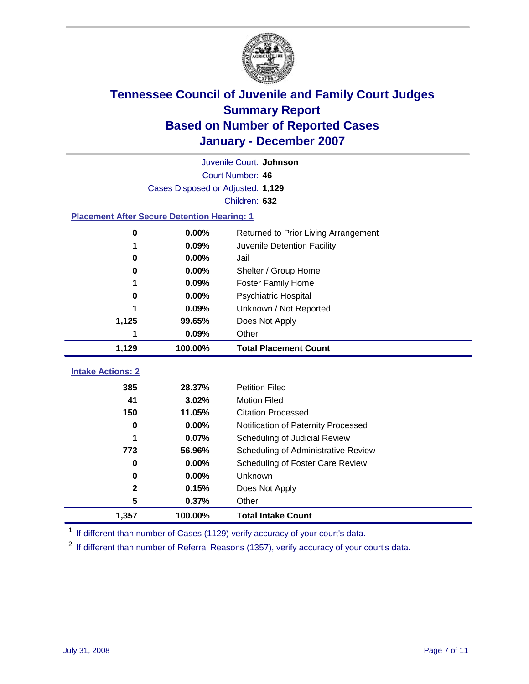

|                                                    | Juvenile Court: Johnson           |                                      |  |  |  |  |  |
|----------------------------------------------------|-----------------------------------|--------------------------------------|--|--|--|--|--|
|                                                    | Court Number: 46                  |                                      |  |  |  |  |  |
|                                                    | Cases Disposed or Adjusted: 1,129 |                                      |  |  |  |  |  |
|                                                    | Children: 632                     |                                      |  |  |  |  |  |
| <b>Placement After Secure Detention Hearing: 1</b> |                                   |                                      |  |  |  |  |  |
| 0                                                  | 0.00%                             | Returned to Prior Living Arrangement |  |  |  |  |  |
| 1                                                  | 0.09%                             | Juvenile Detention Facility          |  |  |  |  |  |
| 0                                                  | 0.00%                             | Jail                                 |  |  |  |  |  |
| 0                                                  | $0.00\%$                          | Shelter / Group Home                 |  |  |  |  |  |
|                                                    | 0.09%                             | <b>Foster Family Home</b>            |  |  |  |  |  |
| 0                                                  | 0.00%                             | <b>Psychiatric Hospital</b>          |  |  |  |  |  |
|                                                    | 0.09%                             | Unknown / Not Reported               |  |  |  |  |  |
| 1,125                                              | 99.65%                            | Does Not Apply                       |  |  |  |  |  |
| 1                                                  | 0.09%                             | Other                                |  |  |  |  |  |
| 1,129                                              | 100.00%                           | <b>Total Placement Count</b>         |  |  |  |  |  |
|                                                    |                                   |                                      |  |  |  |  |  |
| <b>Intake Actions: 2</b>                           |                                   |                                      |  |  |  |  |  |
| 385                                                | 28.37%                            | <b>Petition Filed</b>                |  |  |  |  |  |
| 41                                                 | 3.02%                             | <b>Motion Filed</b>                  |  |  |  |  |  |
| 150                                                | 11.05%                            | <b>Citation Processed</b>            |  |  |  |  |  |
| 0                                                  | 0.00%                             | Notification of Paternity Processed  |  |  |  |  |  |
| 1                                                  | 0.07%                             | Scheduling of Judicial Review        |  |  |  |  |  |
| 773                                                | 56.96%                            | Scheduling of Administrative Review  |  |  |  |  |  |
| 0                                                  | 0.00%                             | Scheduling of Foster Care Review     |  |  |  |  |  |
| 0                                                  | 0.00%                             | Unknown                              |  |  |  |  |  |
| $\mathbf 2$                                        | 0.15%                             | Does Not Apply                       |  |  |  |  |  |
| 5                                                  | 0.37%                             | Other                                |  |  |  |  |  |
| 1,357                                              | 100.00%                           | <b>Total Intake Count</b>            |  |  |  |  |  |

<sup>1</sup> If different than number of Cases (1129) verify accuracy of your court's data.

<sup>2</sup> If different than number of Referral Reasons (1357), verify accuracy of your court's data.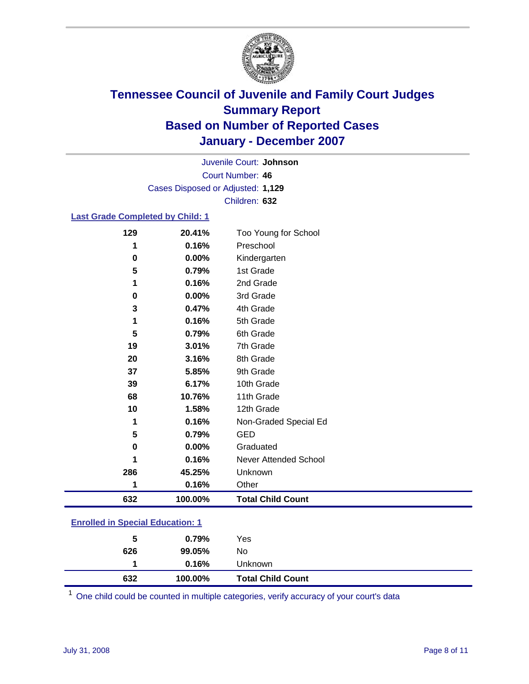

Court Number: **46** Juvenile Court: **Johnson** Cases Disposed or Adjusted: **1,129** Children: **632**

### **Last Grade Completed by Child: 1**

| 129         | 20.41%  | Too Young for School     |
|-------------|---------|--------------------------|
| 1           | 0.16%   | Preschool                |
| $\bf{0}$    | 0.00%   | Kindergarten             |
| 5           | 0.79%   | 1st Grade                |
| 1           | 0.16%   | 2nd Grade                |
| 0           | 0.00%   | 3rd Grade                |
| 3           | 0.47%   | 4th Grade                |
| 1           | 0.16%   | 5th Grade                |
| 5           | 0.79%   | 6th Grade                |
| 19          | 3.01%   | 7th Grade                |
| 20          | 3.16%   | 8th Grade                |
| 37          | 5.85%   | 9th Grade                |
| 39          | 6.17%   | 10th Grade               |
| 68          | 10.76%  | 11th Grade               |
| 10          | 1.58%   | 12th Grade               |
| 1           | 0.16%   | Non-Graded Special Ed    |
| 5           | 0.79%   | <b>GED</b>               |
| $\mathbf 0$ | 0.00%   | Graduated                |
| 1           | 0.16%   | Never Attended School    |
| 286         | 45.25%  | Unknown                  |
| 1           | 0.16%   | Other                    |
| 632         | 100.00% | <b>Total Child Count</b> |

### **Enrolled in Special Education: 1**

<sup>1</sup> One child could be counted in multiple categories, verify accuracy of your court's data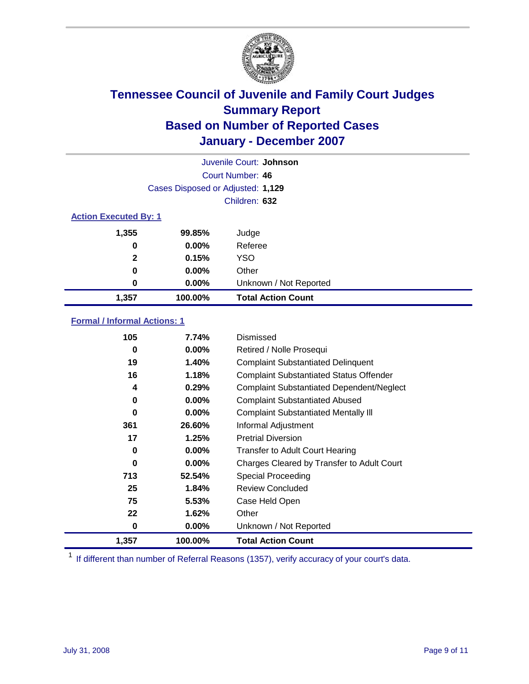

| Juvenile Court: Johnson |                                   |                           |  |  |
|-------------------------|-----------------------------------|---------------------------|--|--|
|                         | Court Number: 46                  |                           |  |  |
|                         | Cases Disposed or Adjusted: 1,129 |                           |  |  |
|                         | Children: 632                     |                           |  |  |
|                         | <b>Action Executed By: 1</b>      |                           |  |  |
| 1,355                   | 99.85%                            | Judge                     |  |  |
| 0                       | $0.00\%$                          | Referee                   |  |  |
| $\mathbf{2}$            | 0.15%                             | <b>YSO</b>                |  |  |
| 0                       | $0.00\%$                          | Other                     |  |  |
| 0                       | $0.00\%$                          | Unknown / Not Reported    |  |  |
| 1,357                   | 100.00%                           | <b>Total Action Count</b> |  |  |

### **Formal / Informal Actions: 1**

| 105   | 7.74%    | Dismissed                                        |
|-------|----------|--------------------------------------------------|
| 0     | $0.00\%$ | Retired / Nolle Prosequi                         |
| 19    | 1.40%    | <b>Complaint Substantiated Delinquent</b>        |
| 16    | 1.18%    | <b>Complaint Substantiated Status Offender</b>   |
| 4     | 0.29%    | <b>Complaint Substantiated Dependent/Neglect</b> |
| 0     | $0.00\%$ | <b>Complaint Substantiated Abused</b>            |
| 0     | $0.00\%$ | <b>Complaint Substantiated Mentally III</b>      |
| 361   | 26.60%   | Informal Adjustment                              |
| 17    | 1.25%    | <b>Pretrial Diversion</b>                        |
| 0     | $0.00\%$ | <b>Transfer to Adult Court Hearing</b>           |
| 0     | $0.00\%$ | Charges Cleared by Transfer to Adult Court       |
| 713   | 52.54%   | Special Proceeding                               |
| 25    | 1.84%    | <b>Review Concluded</b>                          |
| 75    | 5.53%    | Case Held Open                                   |
| 22    | 1.62%    | Other                                            |
| 0     | $0.00\%$ | Unknown / Not Reported                           |
| 1,357 | 100.00%  | <b>Total Action Count</b>                        |

<sup>1</sup> If different than number of Referral Reasons (1357), verify accuracy of your court's data.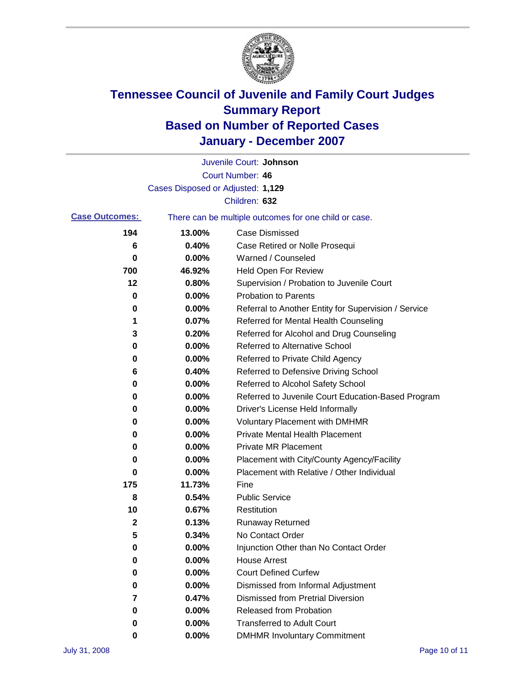

|                       |                                   | Juvenile Court: Johnson                               |
|-----------------------|-----------------------------------|-------------------------------------------------------|
|                       |                                   | Court Number: 46                                      |
|                       | Cases Disposed or Adjusted: 1,129 |                                                       |
|                       |                                   | Children: 632                                         |
| <b>Case Outcomes:</b> |                                   | There can be multiple outcomes for one child or case. |
| 194                   | 13.00%                            | <b>Case Dismissed</b>                                 |
| 6                     | 0.40%                             | Case Retired or Nolle Prosequi                        |
| 0                     | 0.00%                             | Warned / Counseled                                    |
| 700                   | 46.92%                            | <b>Held Open For Review</b>                           |
| 12                    | 0.80%                             | Supervision / Probation to Juvenile Court             |
| 0                     | 0.00%                             | <b>Probation to Parents</b>                           |
| 0                     | 0.00%                             | Referral to Another Entity for Supervision / Service  |
| 1                     | 0.07%                             | Referred for Mental Health Counseling                 |
| 3                     | 0.20%                             | Referred for Alcohol and Drug Counseling              |
| 0                     | 0.00%                             | <b>Referred to Alternative School</b>                 |
| 0                     | 0.00%                             | Referred to Private Child Agency                      |
| 6                     | 0.40%                             | Referred to Defensive Driving School                  |
| 0                     | 0.00%                             | Referred to Alcohol Safety School                     |
| 0                     | 0.00%                             | Referred to Juvenile Court Education-Based Program    |
| 0                     | 0.00%                             | Driver's License Held Informally                      |
| 0                     | 0.00%                             | <b>Voluntary Placement with DMHMR</b>                 |
| 0                     | 0.00%                             | <b>Private Mental Health Placement</b>                |
| 0                     | 0.00%                             | <b>Private MR Placement</b>                           |
| 0                     | 0.00%                             | Placement with City/County Agency/Facility            |
| 0                     | 0.00%                             | Placement with Relative / Other Individual            |
| 175                   | 11.73%                            | Fine                                                  |
| 8                     | 0.54%                             | <b>Public Service</b>                                 |
| 10                    | 0.67%                             | Restitution                                           |
| 2                     | 0.13%                             | <b>Runaway Returned</b>                               |
| 5                     | 0.34%                             | No Contact Order                                      |
| 0                     | 0.00%                             | Injunction Other than No Contact Order                |
| 0                     | 0.00%                             | <b>House Arrest</b>                                   |
| 0                     | 0.00%                             | <b>Court Defined Curfew</b>                           |
| 0                     | 0.00%                             | Dismissed from Informal Adjustment                    |
| 7                     | 0.47%                             | <b>Dismissed from Pretrial Diversion</b>              |
| 0                     | 0.00%                             | <b>Released from Probation</b>                        |
| 0                     | 0.00%                             | <b>Transferred to Adult Court</b>                     |
| 0                     | 0.00%                             | <b>DMHMR Involuntary Commitment</b>                   |